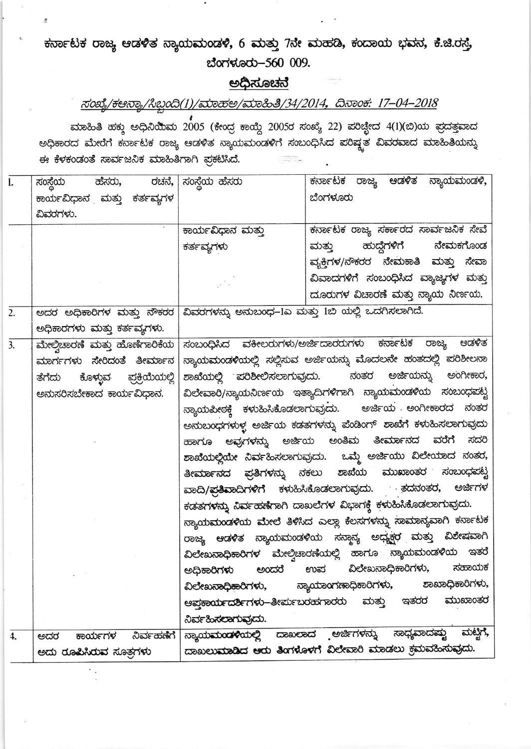## ಕರ್ನಾಟಕ ರಾಜ್ಯ ಆಡಳಿತ ಸ್ಯಾಯಮಂಡಳಿ, 6 ಮತ್ತು 7ನೇ ಮಹಡಿ, ಕಂದಾಯ ಭವನ, ಕೆ.ಜಿ.ರಸ್ತೆ, ಬೆಂಗಳೂರು-560 009.

## <u>ಅಧಿಸೂಚನೆ</u>

## ಸಂಖ್ಯೆ/ಕಆನ್ಯಾ/ಸಿಬ್ಬಂದಿ(1)/ಮಾಹಅ/ಮಾಹಿತಿ/34/2014, ದಿನಾಂಕ: 17-04-2018

ಮಾಹಿತಿ ಹಕ್ಕು ಅಧಿನಿಯಿಮ 2005 (ಕೇಂದ್ರ ಕಾಯ್ದೆ 2005ರ ಸಂಖ್ಯೆ 22) ಪರಿಚ್ಛೇದ 4(1)(ಬಿ)ಯ ಪ್ರದತ್ತವಾದ ಅಧಿಕಾರದ ಮೇರೆಗೆ ಕರ್ನಾಟಕ ರಾಜ್ಯ ಆಡಳಿತ ನ್ಯಾಯಮಂಡಳಿಗೆ ಸಂಬಂಧಿಸಿದ ಪರಿಷ್ಟ್ರತ ವಿವರವಾದ ಮಾಹಿತಿಯನ್ನು ಈ ಕೆಳಕಂಡಂತೆ ಸಾರ್ವಜನಿಕ ಮಾಹಿತಿಗಾಗಿ ಪ್ರಕಟಿಸಿದೆ.

| l.               | ಸಂಸ್ಥೆಯ<br>ಹೆಸರು,                | ರಚನೆ,   ಸಂಸ್ಥೆಯ ಹೆಸರು                                     | ಕರ್ನಾಟಕ ರಾಜ್ಯ ಆಡಳಿತ ನ್ಯಾಯಮಂಡಳಿ,                                       |
|------------------|----------------------------------|-----------------------------------------------------------|-----------------------------------------------------------------------|
|                  | ಕಾರ್ಯವಿಧಾನ ಮತ್ತು ಕರ್ತವ್ಯಗಳ       |                                                           | ಬೆಂಗಳೂರು                                                              |
|                  | ವಿವರಗಳು.                         |                                                           |                                                                       |
|                  |                                  | ಕಾರ್ಯವಿಧಾನ ಮತ್ತು                                          | ಕರ್ನಾಟಕ ರಾಜ್ಯ ಸರ್ಕಾರದ ಸಾರ್ವಜನಿಕ ಸೇವೆ                                  |
|                  |                                  | ಕರ್ತವ್ಯಗಳು                                                | ಹುದ್ದೆಗಳಿಗೆ<br>ನೇಮಕಗೊಂಡ<br>ಮತ್ತು                                      |
|                  |                                  |                                                           | ವ್ಯಕ್ತಿಗಳ/ಸೌಕರರ ನೇಮಕಾತಿ ಮತ್ತು ಸೇವಾ                                    |
|                  |                                  |                                                           | ವಿವಾದಗಳಿಗೆ ಸಂಬಂಧಿಸಿದ ವ್ಯಾಜ್ಯಗಳ ಮತ್ತು                                  |
|                  |                                  |                                                           | ದೂರುಗಳ ವಿಚಾರಣೆ ಮತ್ತು ನ್ಯಾಯ ನಿರ್ಣಯ.                                    |
| 2.               | ಅದರ ಅಧಿಕಾರಿಗಳ ಮತ್ತು ನೌಕರರ        |                                                           |                                                                       |
|                  |                                  | ವಿವರಗಳನ್ನು ಅನುಬಂಧ–1ಎ ಮತ್ತು 1ಬಿ ಯಲ್ಲಿ ಒದಗಿಸಲಾಗಿದೆ.         |                                                                       |
| $\overline{3}$ . | ಅಧಿಕಾರಗಳು ಮತ್ತು ಕರ್ತವ್ಯಗಳು.      | ಸಂಬಂಧಿಸಿದ ವಕೀಲರುಗಳು/ಅರ್ಜಿದಾರರುಗಳು ಕರ್ನಾಟಕ ರಾಜ್ಯ<br>ಆಡಳಿತ  |                                                                       |
|                  | ಮೇಲ್ಗಿಚಾರಣೆ ಮತ್ತು ಹೊಣೆಗಾರಿಕೆಯ    |                                                           |                                                                       |
|                  | ಮಾರ್ಗಗಳು ಸೇರಿದಂತೆ ತೀರ್ಮಾನ        |                                                           | ನ್ಯಾಯಮಂಡಳಿಯಲ್ಲಿ ಸಲ್ಲಿಸುವ ಅರ್ಜಿಯನ್ನು ಮೊದಲನೇ ಹಂತದಲ್ಲಿ ಪರಿಶೀಲನಾ          |
|                  | ಕೊಳ್ಳುವ ಪ್ರಕ್ರಿಯೆಯಲ್ಲಿ<br>ತೆಗೆದು |                                                           | ಶಾಖೆಯಲ್ಲಿ ಪರಿಶೀಲಿಸಲಾಗುವುದು. ನಂತರ ಅರ್ಜಿಯನ್ನು ಅಂಗೀಕಾರ,                  |
|                  | ಅನುಸರಿಸಬೇಕಾದ ಕಾರ್ಯವಿಧಾನ.         | ವಿಲೇವಾರಿ/ನ್ಯಾಯನಿರ್ಣಯ ಇತ್ಯಾದಿಗಳಿಗಾಗಿ ನ್ಯಾಯಮಂಡಳಿಯ ಸಂಬಂಧಪಟ್ಟ |                                                                       |
|                  |                                  |                                                           | ನ್ಯಾಯಪೀಠಕ್ಕೆ ಕಳುಹಿಸಿಕೊಡಲಾಗುವುದು. ಅರ್ಜಿಯ ಅಂಗೀಕಾರದ ನಂತರ                 |
|                  |                                  |                                                           | ಅನುಬಂಧಗಳುಳ್ಳ ಅರ್ಜಿಯ ಕಡತಗಳನ್ನು ಪೆಂಡಿಂಗ್  ಶಾಖೆಗೆ ಕಳುಹಿಸಲಾಗುವುದು         |
|                  |                                  |                                                           | ಹಾಗೂ ಅವುಗಳನ್ನು ಅರ್ಜಿಯ ಅಂತಿಮ ತೀರ್ಮಾನದ<br>ವರೆಗೆ<br>ಸದರಿ                 |
|                  |                                  |                                                           | ಶಾಖೆಯಲ್ಲಿಯೇ ನಿರ್ವಹಿಸಲಾಗುವುದು. ಒಮ್ಜೆ ಅರ್ಜಿಯು ವಿಲೇಯಾದ ನಂತರ,             |
|                  |                                  |                                                           | ತೀರ್ಮಾನದ ಪ್ರತಿಗಳನ್ನು ಸಕಲು ಶಾಖೆಯ ಮುಖಾಂತರ ಸಂಬಂಧಪಟ್ಟ                     |
|                  |                                  | ವಾದಿ/ಪ್ರತಿವಾದಿಗಳಿಗೆ ಕಳುಹಿಸಿಕೊಡಲಾಗುವುದು. ತದನಂತರ, ಅರ್ಜಿಗಳ   |                                                                       |
|                  |                                  |                                                           | ಕಡತಗಳನ್ನು ನಿರ್ವಹಣೆಗಾಗಿ ದಾಖಲೆಗಳ ವಿಭಾಗಕ್ಕೆ ಕಳುಹಿಸಿಕೊಡಲಾಗುವುದು.          |
|                  |                                  |                                                           | ಸ್ಯಾಯಮಂಡಳಿಯ ಮೇಲೆ ತಿಳಿಸಿದ ಎಲ್ಲಾ ಕೆಲಸಗಳನ್ನು ಸಾಮಾನ್ಯವಾಗಿ ಕರ್ನಾಟಕ         |
|                  |                                  |                                                           | ರಾಜ್ಯ ಆಡಳಿತ ನ್ಯಾಯಮಂಡಳಿಯ ಸನ್ಠಾನ್ಯ ಅಧ್ಯಕ್ಷರ ಮತ್ತು ವಿಶೇಷವಾಗಿ             |
|                  |                                  |                                                           | ವಿಲೇಖ <mark>ನಾಧಿಕಾರಿಗಳ ಮೇ</mark> ಲ್ವಿಚಾರಣೆಯಲ್ಲಿ ಹಾಗೂ ನ್ಯಾಯಮಂಡಳಿಯ ಇತರೆ |
|                  |                                  |                                                           | ಅಧಿಕಾರಿಗಳು ಅಂದರೆ ಉಪ ವಿಲೇಖನಾಧಿಕಾರಿಗಳು, ಸಹಾಯಕ                           |
|                  |                                  | ವಿಲೇಖನಾಧಿಕಾರಿಗಳು, ನ್ಯಾಯಾಂಗಣಾಧಿಕಾರಿಗಳು,                    | ಶಾಖಾಧಿಕಾರಿಗಳು,                                                        |
|                  |                                  |                                                           | ಆಪ್ತಕಾರ್ಯದರ್ಶಿಗಳು–ತೀರ್ಪುಬರಹಗಾರರು ಮತ್ತು ಇತರರ ಮುಖಾಂತರ                   |
|                  |                                  | ನಿರ್ವಹಿಸಲಾಗುವುದು.                                         |                                                                       |
| 4.               | ಕಾರ್ಯಗಳ ನಿರ್ವಹಣೆಗೆ <br>ಅದರ       |                                                           | ಸ್ಯಾಯ <b>ಮಂಡಳಿ</b> ಯಲ್ಲಿ ದಾಖಲಾದ ಅರ್ಜಿಗಳನ್ನು ಸಾಧ್ಯವಾದಷ್ಟು ಮಟ್ಟಿಗೆ,     |
|                  | ಅದು ರೂಪಿಸಿರುವ ಸೂತ್ರಗಳು           |                                                           | ದಾಖಲುಮಾಡಿದ ಆರು ತಿಂಗಳೊಳಗೆ ವಿಲೇವಾರಿ ಮಾಡಲು ಕ್ರಮವಹಿಸುವುದು.                |